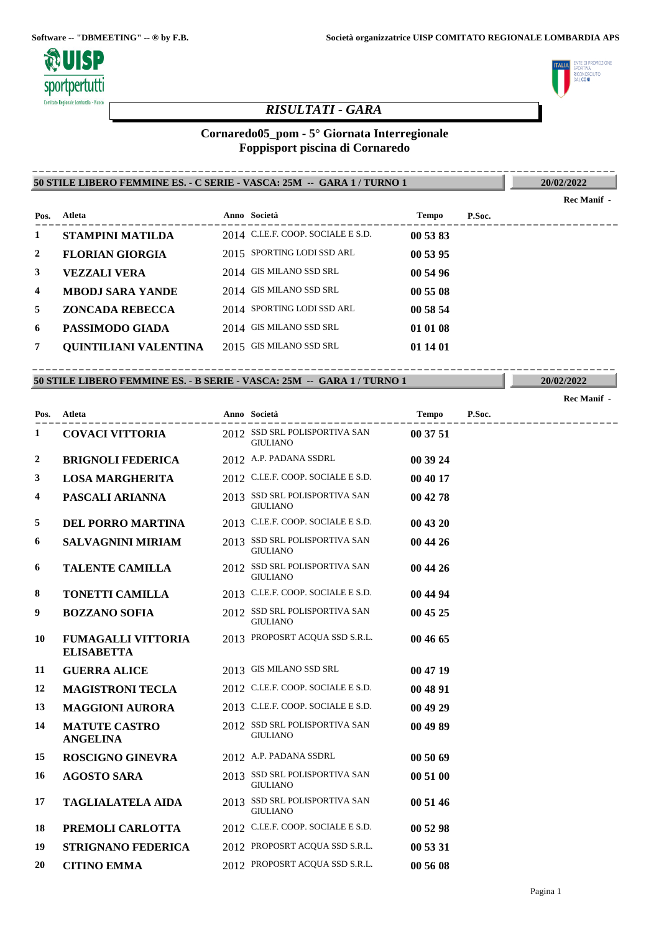

# *RISULTATI - GARA*

# **Cornaredo05\_pom - 5° Giornata Interregionale Foppisport piscina di Cornaredo**

**50 STILE LIBERO FEMMINE ES. - C SERIE - VASCA: 25M -- GARA 1 / TURNO 1** ----------------------------------------------------------------------------------------

**20/02/2022**

**THE DI PROMOZIONE LITO** uunusi<br>Ne**coni** 

|      |                              |                                    |          |        | Rec Manif - |
|------|------------------------------|------------------------------------|----------|--------|-------------|
| Pos. | Atleta                       | Anno Società                       | Tempo    | P.Soc. |             |
| 1    | <b>STAMPINI MATILDA</b>      | 2014 C.I.E.F. COOP. SOCIALE E S.D. | 00 53 83 |        |             |
| 2    | <b>FLORIAN GIORGIA</b>       | 2015 SPORTING LODI SSD ARL         | 00 53 95 |        |             |
| 3    | <b>VEZZALI VERA</b>          | 2014 GIS MILANO SSD SRL            | 00 54 96 |        |             |
| 4    | <b>MBODJ SARA YANDE</b>      | 2014 GIS MILANO SSD SRL            | 00 55 08 |        |             |
| 5.   | <b>ZONCADA REBECCA</b>       | 2014 SPORTING LODI SSD ARL         | 00 58 54 |        |             |
| 6    | PASSIMODO GIADA              | 2014 GIS MILANO SSD SRL            | 01 01 08 |        |             |
|      | <b>OUINTILIANI VALENTINA</b> | 2015 GIS MILANO SSD SRL            | 01 14 01 |        |             |
|      |                              |                                    |          |        |             |

#### **50 STILE LIBERO FEMMINE ES. - B SERIE - VASCA: 25M -- GARA 1 / TURNO 1** ----------------------------------------------------------------------------------------

|                  |                                                |                                                  |          |        | Rec Manif - |
|------------------|------------------------------------------------|--------------------------------------------------|----------|--------|-------------|
| Pos.             | Atleta                                         | Anno Società                                     | Tempo    | P.Soc. |             |
| 1                | <b>COVACI VITTORIA</b>                         | 2012 SSD SRL POLISPORTIVA SAN<br><b>GIULIANO</b> | 00 37 51 |        |             |
| $\boldsymbol{2}$ | <b>BRIGNOLI FEDERICA</b>                       | 2012 A.P. PADANA SSDRL                           | 00 39 24 |        |             |
| 3                | <b>LOSA MARGHERITA</b>                         | 2012 C.I.E.F. COOP. SOCIALE E S.D.               | 00 40 17 |        |             |
| 4                | PASCALI ARIANNA                                | 2013 SSD SRL POLISPORTIVA SAN<br><b>GIULIANO</b> | 00 42 78 |        |             |
| 5                | <b>DEL PORRO MARTINA</b>                       | 2013 C.I.E.F. COOP. SOCIALE E S.D.               | 00 43 20 |        |             |
| 6                | <b>SALVAGNINI MIRIAM</b>                       | 2013 SSD SRL POLISPORTIVA SAN<br><b>GIULIANO</b> | 00 44 26 |        |             |
| 6                | <b>TALENTE CAMILLA</b>                         | 2012 SSD SRL POLISPORTIVA SAN<br><b>GIULIANO</b> | 00 44 26 |        |             |
| 8                | <b>TONETTI CAMILLA</b>                         | 2013 C.I.E.F. COOP. SOCIALE E S.D.               | 00 44 94 |        |             |
| 9                | <b>BOZZANO SOFIA</b>                           | 2012 SSD SRL POLISPORTIVA SAN<br><b>GIULIANO</b> | 00 45 25 |        |             |
| 10               | <b>FUMAGALLI VITTORIA</b><br><b>ELISABETTA</b> | 2013 PROPOSRT ACQUA SSD S.R.L.                   | 00 46 65 |        |             |
| 11               | <b>GUERRA ALICE</b>                            | 2013 GIS MILANO SSD SRL                          | 00 47 19 |        |             |
| 12               | <b>MAGISTRONI TECLA</b>                        | 2012 C.I.E.F. COOP. SOCIALE E S.D.               | 00 48 91 |        |             |
| 13               | <b>MAGGIONI AURORA</b>                         | 2013 C.I.E.F. COOP. SOCIALE E S.D.               | 00 49 29 |        |             |
| 14               | <b>MATUTE CASTRO</b><br><b>ANGELINA</b>        | 2012 SSD SRL POLISPORTIVA SAN<br><b>GIULIANO</b> | 00 49 89 |        |             |
| 15               | <b>ROSCIGNO GINEVRA</b>                        | 2012 A.P. PADANA SSDRL                           | 00 50 69 |        |             |
| 16               | <b>AGOSTO SARA</b>                             | 2013 SSD SRL POLISPORTIVA SAN<br><b>GIULIANO</b> | 00 51 00 |        |             |
| 17               | <b>TAGLIALATELA AIDA</b>                       | 2013 SSD SRL POLISPORTIVA SAN<br><b>GIULIANO</b> | 00 51 46 |        |             |
| 18               | PREMOLI CARLOTTA                               | 2012 C.I.E.F. COOP. SOCIALE E S.D.               | 00 52 98 |        |             |
| 19               | <b>STRIGNANO FEDERICA</b>                      | 2012 PROPOSRT ACQUA SSD S.R.L.                   | 00 53 31 |        |             |
| 20               | <b>CITINO EMMA</b>                             | 2012 PROPOSRT ACQUA SSD S.R.L.                   | 00 56 08 |        |             |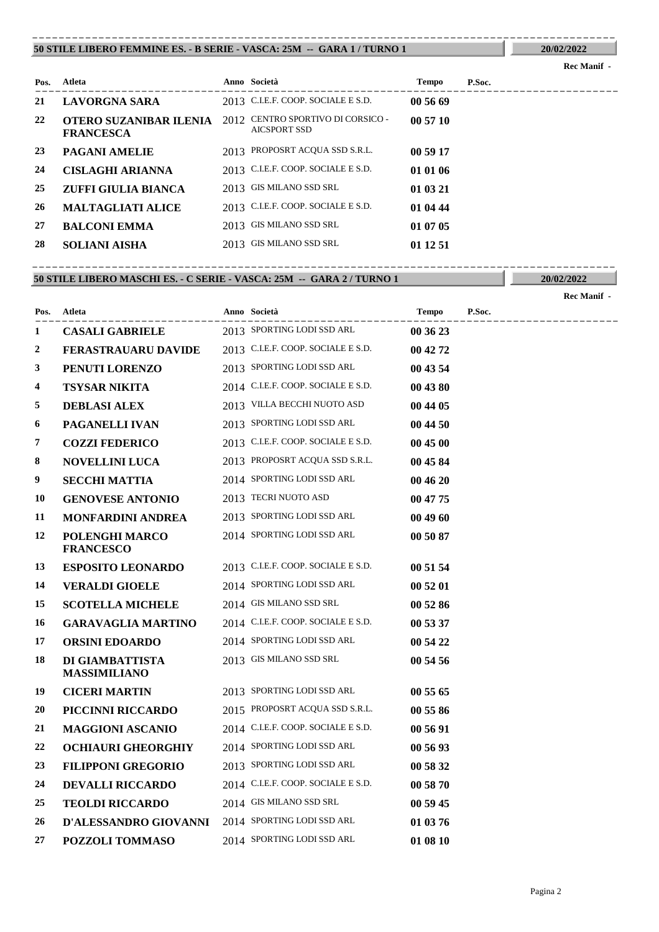#### **50 STILE LIBERO FEMMINE ES. - B SERIE - VASCA: 25M -- GARA 1 / TURNO 1** ----------------------------------------------------------------------------------------

Pagina 2

| Pos. | Atleta                                     | Anno Società                                             | Tempo    | P.Soc. |
|------|--------------------------------------------|----------------------------------------------------------|----------|--------|
| 21   | LAVORGNA SARA                              | 2013 C.I.E.F. COOP. SOCIALE E S.D.                       | 00 56 69 |        |
| 22   | OTERO SUZANIBAR ILENIA<br><b>FRANCESCA</b> | 2012 CENTRO SPORTIVO DI CORSICO -<br><b>AICSPORT SSD</b> | 005710   |        |
| 23   | <b>PAGANI AMELIE</b>                       | 2013 PROPOSRT ACQUA SSD S.R.L.                           | 00 59 17 |        |
| 24   | <b>CISLAGHI ARIANNA</b>                    | 2013 C.I.E.F. COOP. SOCIALE E S.D.                       | 01 01 06 |        |
| 25   | ZUFFI GIULIA BIANCA                        | 2013 GIS MILANO SSD SRL                                  | 01 03 21 |        |
| 26   | <b>MALTAGLIATI ALICE</b>                   | 2013 C.I.E.F. COOP. SOCIALE E S.D.                       | 01 04 44 |        |
| 27   | <b>BALCONI EMMA</b>                        | 2013 GIS MILANO SSD SRL                                  | 01 07 05 |        |
| 28   | <b>SOLIANI AISHA</b>                       | 2013 GIS MILANO SSD SRL                                  | 01 12 51 |        |

#### **50 STILE LIBERO MASCHI ES. - C SERIE - VASCA: 25M -- GARA 2 / TURNO 1** ----------------------------------------------------------------------------------------

**20/02/2022 Rec Manif -** 

| Pos. | Atleta                                 | Anno Società                       | Tempo    | P.Soc. |
|------|----------------------------------------|------------------------------------|----------|--------|
| 1    | <b>CASALI GABRIELE</b>                 | 2013 SPORTING LODI SSD ARL         | 00 36 23 |        |
| 2    | <b>FERASTRAUARU DAVIDE</b>             | 2013 C.I.E.F. COOP. SOCIALE E S.D. | 00 42 72 |        |
| 3    | PENUTI LORENZO                         | 2013 SPORTING LODI SSD ARL         | 00 43 54 |        |
| 4    | <b>TSYSAR NIKITA</b>                   | 2014 C.I.E.F. COOP. SOCIALE E S.D. | 00 43 80 |        |
| 5    | <b>DEBLASI ALEX</b>                    | 2013 VILLA BECCHI NUOTO ASD        | 00 44 05 |        |
| 6    | PAGANELLI IVAN                         | 2013 SPORTING LODI SSD ARL         | 00 44 50 |        |
| 7    | <b>COZZI FEDERICO</b>                  | 2013 C.I.E.F. COOP. SOCIALE E S.D. | 00 45 00 |        |
| 8    | <b>NOVELLINI LUCA</b>                  | 2013 PROPOSRT ACQUA SSD S.R.L.     | 00 45 84 |        |
| 9    | <b>SECCHI MATTIA</b>                   | 2014 SPORTING LODI SSD ARL         | 00 46 20 |        |
| 10   | <b>GENOVESE ANTONIO</b>                | 2013 TECRI NUOTO ASD               | 00 47 75 |        |
| 11   | <b>MONFARDINI ANDREA</b>               | 2013 SPORTING LODI SSD ARL         | 00 49 60 |        |
| 12   | POLENGHI MARCO<br><b>FRANCESCO</b>     | 2014 SPORTING LODI SSD ARL         | 00 50 87 |        |
| 13   | <b>ESPOSITO LEONARDO</b>               | 2013 C.I.E.F. COOP. SOCIALE E S.D. | 00 51 54 |        |
| 14   | <b>VERALDI GIOELE</b>                  | 2014 SPORTING LODI SSD ARL         | 00 52 01 |        |
| 15   | <b>SCOTELLA MICHELE</b>                | 2014 GIS MILANO SSD SRL            | 00 52 86 |        |
| 16   | <b>GARAVAGLIA MARTINO</b>              | 2014 C.I.E.F. COOP. SOCIALE E S.D. | 00 53 37 |        |
| 17   | <b>ORSINI EDOARDO</b>                  | 2014 SPORTING LODI SSD ARL         | 00 54 22 |        |
| 18   | DI GIAMBATTISTA<br><b>MASSIMILIANO</b> | 2013 GIS MILANO SSD SRL            | 00 54 56 |        |
| 19   | <b>CICERI MARTIN</b>                   | 2013 SPORTING LODI SSD ARL         | 00 55 65 |        |
| 20   | PICCINNI RICCARDO                      | 2015 PROPOSRT ACQUA SSD S.R.L.     | 00 55 86 |        |
| 21   | <b>MAGGIONI ASCANIO</b>                | 2014 C.I.E.F. COOP. SOCIALE E S.D. | 00 56 91 |        |
| 22   | <b>OCHIAURI GHEORGHIY</b>              | 2014 SPORTING LODI SSD ARL         | 00 56 93 |        |
| 23   | <b>FILIPPONI GREGORIO</b>              | 2013 SPORTING LODI SSD ARL         | 00 58 32 |        |
| 24   | <b>DEVALLI RICCARDO</b>                | 2014 C.I.E.F. COOP. SOCIALE E S.D. | 00 58 70 |        |
| 25   | <b>TEOLDI RICCARDO</b>                 | 2014 GIS MILANO SSD SRL            | 00 59 45 |        |
| 26   | D'ALESSANDRO GIOVANNI                  | 2014 SPORTING LODI SSD ARL         | 01 03 76 |        |
| 27   | POZZOLI TOMMASO                        | 2014 SPORTING LODI SSD ARL         | 01 08 10 |        |

# **20/02/2022**

**Rec Manif -**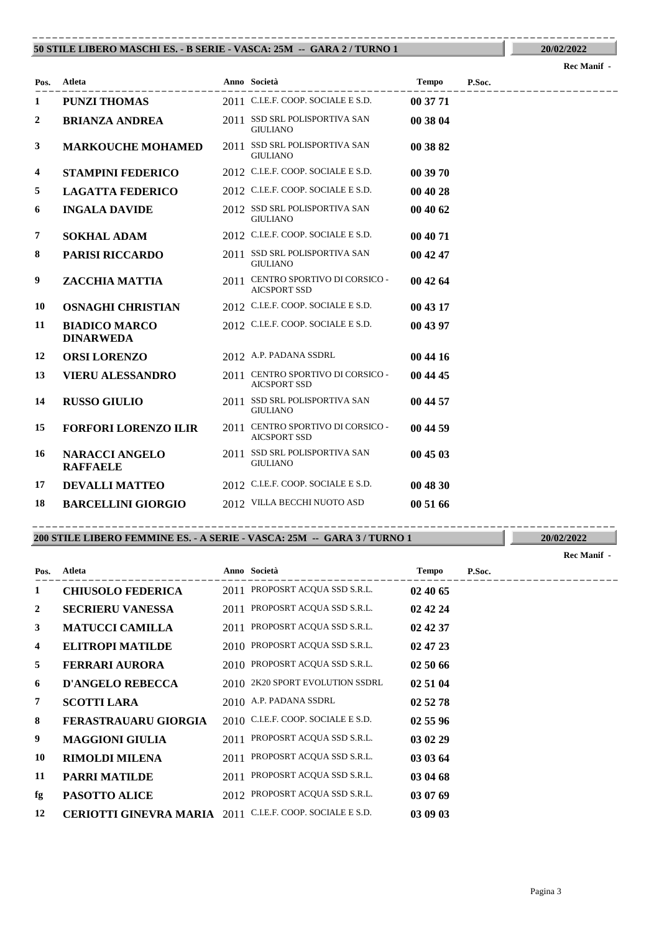#### **50 STILE LIBERO MASCHI ES. - B SERIE - VASCA: 25M -- GARA 2 / TURNO 1** ----------------------------------------------------------------------------------------

|      |                                          |      |                                                          |          |        | <b>Rec</b> Manii - |
|------|------------------------------------------|------|----------------------------------------------------------|----------|--------|--------------------|
| Pos. | Atleta                                   |      | Anno Società                                             | Tempo    | P.Soc. |                    |
| 1    | <b>PUNZI THOMAS</b>                      |      | 2011 C.I.E.F. COOP. SOCIALE E S.D.                       | 00 37 71 |        |                    |
| 2    | <b>BRIANZA ANDREA</b>                    |      | 2011 SSD SRL POLISPORTIVA SAN<br><b>GIULIANO</b>         | 00 38 04 |        |                    |
| 3    | <b>MARKOUCHE MOHAMED</b>                 |      | 2011 SSD SRL POLISPORTIVA SAN<br><b>GIULIANO</b>         | 00 38 82 |        |                    |
| 4    | <b>STAMPINI FEDERICO</b>                 |      | 2012 C.I.E.F. COOP. SOCIALE E S.D.                       | 00 39 70 |        |                    |
| 5    | <b>LAGATTA FEDERICO</b>                  |      | 2012 C.I.E.F. COOP. SOCIALE E S.D.                       | 00 40 28 |        |                    |
| 6    | <b>INGALA DAVIDE</b>                     |      | 2012 SSD SRL POLISPORTIVA SAN<br><b>GIULIANO</b>         | 00 40 62 |        |                    |
| 7    | <b>SOKHAL ADAM</b>                       |      | 2012 C.I.E.F. COOP. SOCIALE E S.D.                       | 00 40 71 |        |                    |
| 8    | <b>PARISI RICCARDO</b>                   |      | 2011 SSD SRL POLISPORTIVA SAN<br><b>GIULIANO</b>         | 00 42 47 |        |                    |
| 9    | ZACCHIA MATTIA                           | 2011 | CENTRO SPORTIVO DI CORSICO -<br><b>AICSPORT SSD</b>      | 00 42 64 |        |                    |
| 10   | <b>OSNAGHI CHRISTIAN</b>                 |      | 2012 C.I.E.F. COOP. SOCIALE E S.D.                       | 00 43 17 |        |                    |
| 11   | <b>BIADICO MARCO</b><br><b>DINARWEDA</b> |      | 2012 C.I.E.F. COOP. SOCIALE E S.D.                       | 00 43 97 |        |                    |
| 12   | <b>ORSI LORENZO</b>                      |      | 2012 A.P. PADANA SSDRL                                   | 00 44 16 |        |                    |
| 13   | <b>VIERU ALESSANDRO</b>                  |      | 2011 CENTRO SPORTIVO DI CORSICO -<br><b>AICSPORT SSD</b> | 00 44 45 |        |                    |
| 14   | <b>RUSSO GIULIO</b>                      |      | 2011 SSD SRL POLISPORTIVA SAN<br><b>GIULIANO</b>         | 00 44 57 |        |                    |
| 15   | <b>FORFORI LORENZO ILIR</b>              |      | 2011 CENTRO SPORTIVO DI CORSICO -<br><b>AICSPORT SSD</b> | 00 44 59 |        |                    |
| 16   | <b>NARACCI ANGELO</b><br><b>RAFFAELE</b> | 2011 | SSD SRL POLISPORTIVA SAN<br><b>GIULIANO</b>              | 00 45 03 |        |                    |
| 17   | <b>DEVALLI MATTEO</b>                    |      | 2012 C.I.E.F. COOP. SOCIALE E S.D.                       | 00 48 30 |        |                    |
| 18   | <b>BARCELLINI GIORGIO</b>                |      | 2012 VILLA BECCHI NUOTO ASD                              | 00 51 66 |        |                    |

#### **200 STILE LIBERO FEMMINE ES. - A SERIE - VASCA: 25M -- GARA 3 / TURNO 1** ----------------------------------------------------------------------------------------

**20/02/2022**

|      |                          |      |                                    |              |        | <b>Rec Manif -</b> |
|------|--------------------------|------|------------------------------------|--------------|--------|--------------------|
| Pos. | Atleta                   |      | Anno Società                       | <b>Tempo</b> | P.Soc. |                    |
| 1    | <b>CHIUSOLO FEDERICA</b> |      | 2011 PROPOSRT ACQUA SSD S.R.L.     | 024065       |        |                    |
| 2    | <b>SECRIERU VANESSA</b>  | 2011 | PROPOSRT ACQUA SSD S.R.L.          | 02 42 24     |        |                    |
| 3    | <b>MATUCCI CAMILLA</b>   |      | 2011 PROPOSRT ACQUA SSD S.R.L.     | 02 42 37     |        |                    |
| 4    | <b>ELITROPI MATILDE</b>  |      | 2010 PROPOSRT ACQUA SSD S.R.L.     | 02 47 23     |        |                    |
| 5    | <b>FERRARI AURORA</b>    |      | 2010 PROPOSRT ACQUA SSD S.R.L.     | 02 50 66     |        |                    |
| 6    | <b>D'ANGELO REBECCA</b>  |      | 2010 2K20 SPORT EVOLUTION SSDRL    | 02 51 04     |        |                    |
| 7    | <b>SCOTTI LARA</b>       |      | 2010 A.P. PADANA SSDRL             | 02 52 78     |        |                    |
| 8    | FERASTRAUARU GIORGIA     |      | 2010 C.I.E.F. COOP. SOCIALE E S.D. | 02 55 96     |        |                    |
| 9    | <b>MAGGIONI GIULIA</b>   | 2011 | PROPOSRT ACQUA SSD S.R.L.          | 03 02 29     |        |                    |
| 10   | <b>RIMOLDI MILENA</b>    | 2011 | PROPOSRT ACQUA SSD S.R.L.          | 03 03 64     |        |                    |
| 11   | <b>PARRI MATILDE</b>     | 2011 | PROPOSRT ACQUA SSD S.R.L.          | 03 04 68     |        |                    |
| fg   | <b>PASOTTO ALICE</b>     |      | 2012 PROPOSRT ACQUA SSD S.R.L.     | 03 07 69     |        |                    |
| 12   | CERIOTTI GINEVRA MARIA   |      | 2011 C.I.E.F. COOP. SOCIALE E S.D. | 03 09 03     |        |                    |

**20/02/2022**

#### **Rec Manif -**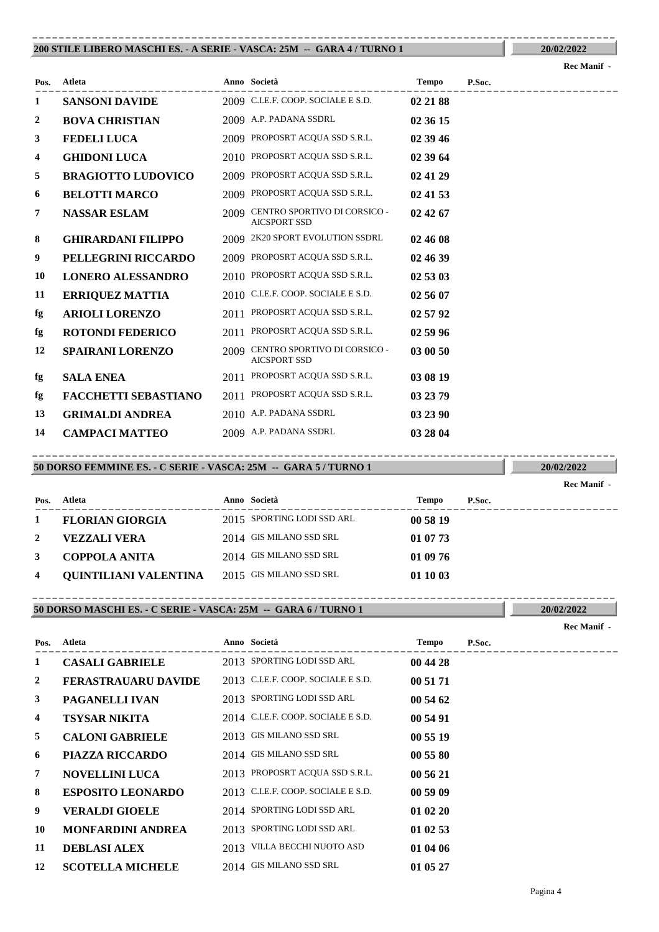#### **200 STILE LIBERO MASCHI ES. - A SERIE - VASCA: 25M -- GARA 4 / TURNO 1** ----------------------------------------------------------------------------------------

|                |                             |      |                                                          |          | лес маши |
|----------------|-----------------------------|------|----------------------------------------------------------|----------|----------|
| Pos.           | Atleta                      |      | Anno Società                                             | Tempo    | P.Soc.   |
| 1              | <b>SANSONI DAVIDE</b>       |      | 2009 C.I.E.F. COOP. SOCIALE E S.D.                       | 02 21 88 |          |
| $\overline{2}$ | <b>BOVA CHRISTIAN</b>       |      | 2009 A.P. PADANA SSDRL                                   | 02 36 15 |          |
| 3              | <b>FEDELI LUCA</b>          |      | 2009 PROPOSRT ACQUA SSD S.R.L.                           | 02 39 46 |          |
| 4              | <b>GHIDONI LUCA</b>         |      | 2010 PROPOSRT ACQUA SSD S.R.L.                           | 02 39 64 |          |
| 5              | <b>BRAGIOTTO LUDOVICO</b>   |      | 2009 PROPOSRT ACQUA SSD S.R.L.                           | 02 41 29 |          |
| 6              | <b>BELOTTI MARCO</b>        |      | 2009 PROPOSRT ACQUA SSD S.R.L.                           | 02 41 53 |          |
| 7              | <b>NASSAR ESLAM</b>         |      | 2009 CENTRO SPORTIVO DI CORSICO -<br><b>AICSPORT SSD</b> | 02 42 67 |          |
| 8              | <b>GHIRARDANI FILIPPO</b>   |      | 2009 2K20 SPORT EVOLUTION SSDRL                          | 02 46 08 |          |
| 9              | PELLEGRINI RICCARDO         |      | 2009 PROPOSRT ACQUA SSD S.R.L.                           | 02 46 39 |          |
| 10             | <b>LONERO ALESSANDRO</b>    |      | 2010 PROPOSRT ACQUA SSD S.R.L.                           | 02 53 03 |          |
| 11             | <b>ERRIQUEZ MATTIA</b>      |      | 2010 C.I.E.F. COOP. SOCIALE E S.D.                       | 02 56 07 |          |
| fg             | <b>ARIOLI LORENZO</b>       | 2011 | PROPOSRT ACOUA SSD S.R.L.                                | 02 57 92 |          |
| fg             | <b>ROTONDI FEDERICO</b>     |      | 2011 PROPOSRT ACQUA SSD S.R.L.                           | 02 59 96 |          |
| 12             | <b>SPAIRANI LORENZO</b>     |      | 2009 CENTRO SPORTIVO DI CORSICO -<br><b>AICSPORT SSD</b> | 03 00 50 |          |
| fg             | <b>SALA ENEA</b>            |      | 2011 PROPOSRT ACQUA SSD S.R.L.                           | 03 08 19 |          |
| fg             | <b>FACCHETTI SEBASTIANO</b> |      | 2011 PROPOSRT ACQUA SSD S.R.L.                           | 03 23 79 |          |
| 13             | <b>GRIMALDI ANDREA</b>      |      | 2010 A.P. PADANA SSDRL                                   | 03 23 90 |          |
| 14             | <b>CAMPACI MATTEO</b>       |      | 2009 A.P. PADANA SSDRL                                   | 03 28 04 |          |

## **50 DORSO FEMMINE ES. - C SERIE - VASCA: 25M -- GARA 5 / TURNO 1**

|              |                              |                            |          |        | кес маши |
|--------------|------------------------------|----------------------------|----------|--------|----------|
| Pos.         | Atleta                       | Anno Società               | Tempo    | P.Soc. |          |
| 1            | <b>FLORIAN GIORGIA</b>       | 2015 SPORTING LODI SSD ARL | 00 58 19 |        |          |
| <sup>2</sup> | <b>VEZZALI VERA</b>          | 2014 GIS MILANO SSD SRL    | 01 07 73 |        |          |
| 3            | COPPOLA ANITA                | 2014 GIS MILANO SSD SRL    | 01 09 76 |        |          |
| 4            | <b>OUINTILIANI VALENTINA</b> | 2015 GIS MILANO SSD SRL    | 01 10 03 |        |          |

----------------------------------------------------------------------------------------

----------------------------------------------------------------------------------------

### **50 DORSO MASCHI ES. - C SERIE - VASCA: 25M -- GARA 6 / TURNO 1**

| Pos.           | Atleta                     | Anno Società                       | Tempo    | P.Soc. |
|----------------|----------------------------|------------------------------------|----------|--------|
| $\mathbf{1}$   | <b>CASALI GABRIELE</b>     | 2013 SPORTING LODI SSD ARL         | 00 44 28 |        |
| $\overline{2}$ | <b>FERASTRAUARU DAVIDE</b> | 2013 C.I.E.F. COOP. SOCIALE E S.D. | 00 51 71 |        |
| 3              | <b>PAGANELLI IVAN</b>      | 2013 SPORTING LODI SSD ARL         | 00 54 62 |        |
| 4              | <b>TSYSAR NIKITA</b>       | 2014 C.I.E.F. COOP. SOCIALE E S.D. | 00 54 91 |        |
| 5              | <b>CALONI GABRIELE</b>     | 2013 GIS MILANO SSD SRL            | 00 55 19 |        |
| 6              | <b>PIAZZA RICCARDO</b>     | 2014 GIS MILANO SSD SRL            | 00 55 80 |        |
| 7              | <b>NOVELLINI LUCA</b>      | 2013 PROPOSRT ACQUA SSD S.R.L.     | 00 56 21 |        |
| 8              | <b>ESPOSITO LEONARDO</b>   | 2013 C.I.E.F. COOP. SOCIALE E S.D. | 00 59 09 |        |
| 9              | <b>VERALDI GIOELE</b>      | 2014 SPORTING LODI SSD ARL         | 01 02 20 |        |
| 10             | <b>MONFARDINI ANDREA</b>   | 2013 SPORTING LODI SSD ARL         | 01 02 53 |        |
| 11             | <b>DEBLASI ALEX</b>        | 2013 VILLA BECCHI NUOTO ASD        | 01 04 06 |        |
| 12             | <b>SCOTELLA MICHELE</b>    | 2014 GIS MILANO SSD SRL            | 01 05 27 |        |

**Rec Manif -** 

**20/02/2022**

**20/02/2022**

**Rec Manif -** 

**Rec Manif**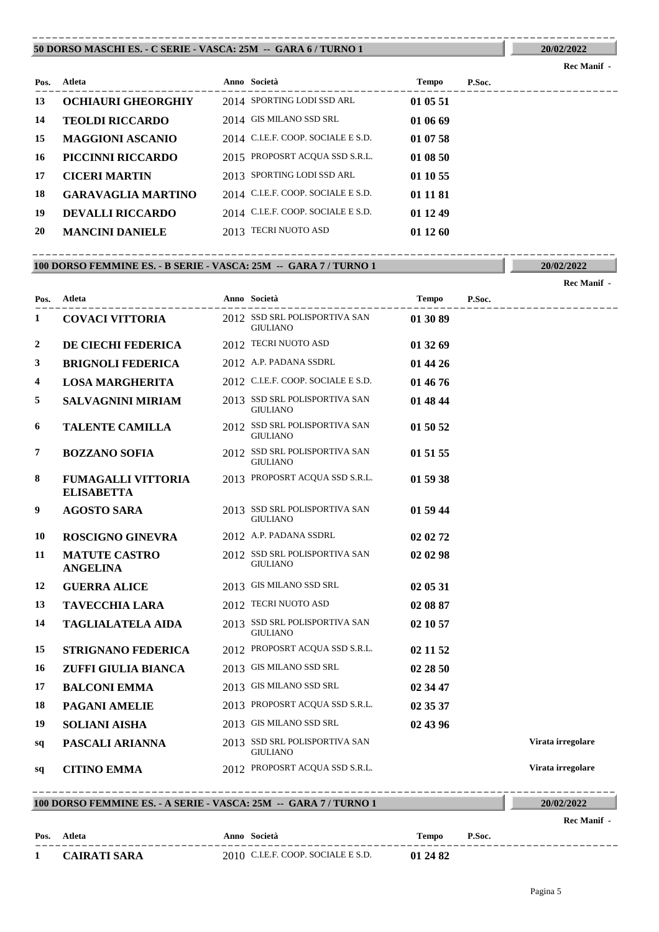#### **50 DORSO MASCHI ES. - C SERIE - VASCA: 25M -- GARA 6 / TURNO 1** ----------------------------------------------------------------------------------------

| Pos. | Atleta                    | Anno Società                       | Tempo    | P.Soc. |
|------|---------------------------|------------------------------------|----------|--------|
| 13   | <b>OCHIAURI GHEORGHIY</b> | 2014 SPORTING LODI SSD ARL         | 01 05 51 |        |
| 14   | <b>TEOLDI RICCARDO</b>    | 2014 GIS MILANO SSD SRL            | 01 06 69 |        |
| 15   | <b>MAGGIONI ASCANIO</b>   | 2014 C.I.E.F. COOP. SOCIALE E S.D. | 01 07 58 |        |
| 16   | <b>PICCINNI RICCARDO</b>  | 2015 PROPOSRT ACQUA SSD S.R.L.     | 01 08 50 |        |
| 17   | <b>CICERI MARTIN</b>      | 2013 SPORTING LODI SSD ARL         | 01 10 55 |        |
| 18   | <b>GARAVAGLIA MARTINO</b> | 2014 C.I.E.F. COOP. SOCIALE E S.D. | 01 11 81 |        |
| 19   | <b>DEVALLI RICCARDO</b>   | 2014 C.I.E.F. COOP. SOCIALE E S.D. | 01 12 49 |        |
| 20   | <b>MANCINI DANIELE</b>    | 2013 TECRI NUOTO ASD               | 01 12 60 |        |
|      |                           |                                    |          |        |

#### **100 DORSO FEMMINE ES. - B SERIE - VASCA: 25M -- GARA 7 / TURNO 1** ----------------------------------------------------------------------------------------

|      |                                                |                                                  |          |        | Rec Manif -       |
|------|------------------------------------------------|--------------------------------------------------|----------|--------|-------------------|
| Pos. | Atleta                                         | Anno Società<br>----------------------           | Tempo    | P.Soc. |                   |
| 1    | <b>COVACI VITTORIA</b>                         | 2012 SSD SRL POLISPORTIVA SAN<br><b>GIULIANO</b> | 01 30 89 |        |                   |
| 2    | DE CIECHI FEDERICA                             | 2012 TECRI NUOTO ASD                             | 01 32 69 |        |                   |
| 3    | <b>BRIGNOLI FEDERICA</b>                       | 2012 A.P. PADANA SSDRL                           | 01 44 26 |        |                   |
| 4    | <b>LOSA MARGHERITA</b>                         | 2012 C.I.E.F. COOP. SOCIALE E S.D.               | 01 46 76 |        |                   |
| 5    | <b>SALVAGNINI MIRIAM</b>                       | 2013 SSD SRL POLISPORTIVA SAN<br><b>GIULIANO</b> | 01 48 44 |        |                   |
| 6    | <b>TALENTE CAMILLA</b>                         | 2012 SSD SRL POLISPORTIVA SAN<br><b>GIULIANO</b> | 01 50 52 |        |                   |
| 7    | <b>BOZZANO SOFIA</b>                           | 2012 SSD SRL POLISPORTIVA SAN<br><b>GIULIANO</b> | 01 51 55 |        |                   |
| 8    | <b>FUMAGALLI VITTORIA</b><br><b>ELISABETTA</b> | 2013 PROPOSRT ACQUA SSD S.R.L.                   | 01 59 38 |        |                   |
| 9    | <b>AGOSTO SARA</b>                             | 2013 SSD SRL POLISPORTIVA SAN<br><b>GIULIANO</b> | 01 59 44 |        |                   |
| 10   | <b>ROSCIGNO GINEVRA</b>                        | 2012 A.P. PADANA SSDRL                           | 02 02 72 |        |                   |
| 11   | <b>MATUTE CASTRO</b><br><b>ANGELINA</b>        | 2012 SSD SRL POLISPORTIVA SAN<br><b>GIULIANO</b> | 02 02 98 |        |                   |
| 12   | <b>GUERRA ALICE</b>                            | 2013 GIS MILANO SSD SRL                          | 02 05 31 |        |                   |
| 13   | <b>TAVECCHIA LARA</b>                          | 2012 TECRI NUOTO ASD                             | 02 08 87 |        |                   |
| 14   | <b>TAGLIALATELA AIDA</b>                       | 2013 SSD SRL POLISPORTIVA SAN<br><b>GIULIANO</b> | 02 10 57 |        |                   |
| 15   | <b>STRIGNANO FEDERICA</b>                      | 2012 PROPOSRT ACQUA SSD S.R.L.                   | 02 11 52 |        |                   |
| 16   | ZUFFI GIULIA BIANCA                            | 2013 GIS MILANO SSD SRL                          | 02 28 50 |        |                   |
| 17   | <b>BALCONI EMMA</b>                            | 2013 GIS MILANO SSD SRL                          | 02 34 47 |        |                   |
| 18   | <b>PAGANI AMELIE</b>                           | 2013 PROPOSRT ACQUA SSD S.R.L.                   | 02 35 37 |        |                   |
| 19   | <b>SOLIANI AISHA</b>                           | 2013 GIS MILANO SSD SRL                          | 02 43 96 |        |                   |
| sq   | PASCALI ARIANNA                                | 2013 SSD SRL POLISPORTIVA SAN<br><b>GIULIANO</b> |          |        | Virata irregolare |
| sq   | <b>CITINO EMMA</b>                             | 2012 PROPOSRT ACQUA SSD S.R.L.                   |          |        | Virata irregolare |
|      |                                                |                                                  |          |        |                   |

### **100 DORSO FEMMINE ES. - A SERIE - VASCA: 25M -- GARA 7 / TURNO 1**

# **Rec Manif -**

| Pos. | Atleta              | Anno Società                       | Tempo    | P.Soc. |
|------|---------------------|------------------------------------|----------|--------|
|      | <b>CAIRATI SARA</b> | 2010 C.I.E.F. COOP. SOCIALE E S.D. | 01 24 82 |        |

# **Rec Manif -**

**20/02/2022**

**20/02/2022**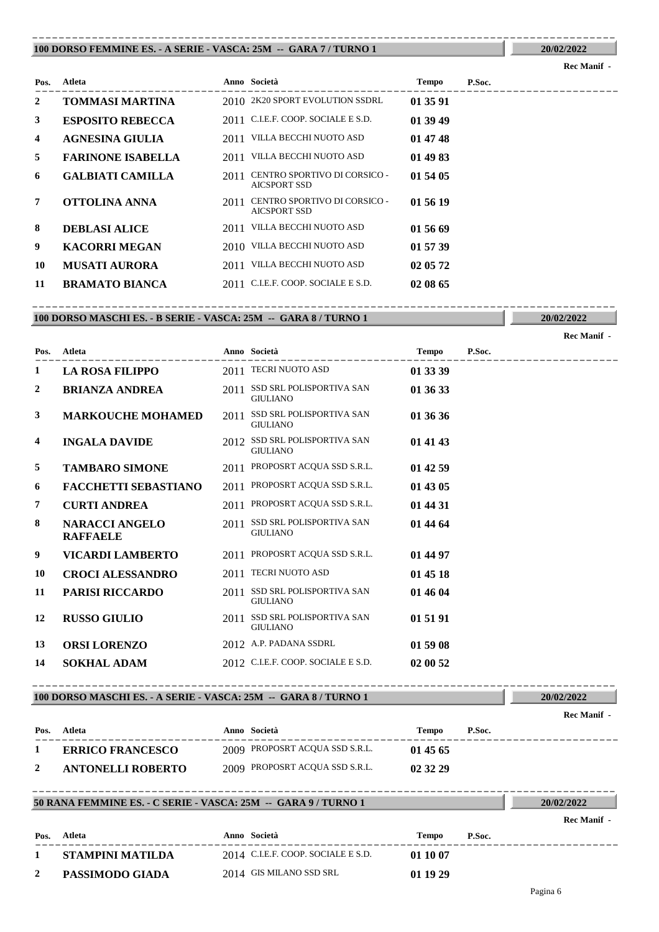#### **100 DORSO FEMMINE ES. - A SERIE - VASCA: 25M -- GARA 7 / TURNO 1** ----------------------------------------------------------------------------------------

**20/02/2022**

**20/02/2022**

**Rec Manif -** 

|                |                          |      |                                                     |              |        | <b>Rec Manif</b> - |
|----------------|--------------------------|------|-----------------------------------------------------|--------------|--------|--------------------|
| Pos.           | Atleta                   |      | Anno Società                                        | <b>Tempo</b> | P.Soc. |                    |
| $\overline{2}$ | <b>TOMMASI MARTINA</b>   |      | 2010 2K20 SPORT EVOLUTION SSDRL                     | 01 35 91     |        |                    |
| 3              | <b>ESPOSITO REBECCA</b>  |      | 2011 C.I.E.F. COOP. SOCIALE E S.D.                  | 01 39 49     |        |                    |
| 4              | <b>AGNESINA GIULIA</b>   |      | 2011 VILLA BECCHI NUOTO ASD                         | 01 47 48     |        |                    |
| 5              | <b>FARINONE ISABELLA</b> | 2011 | VILLA BECCHI NUOTO ASD                              | 01 49 83     |        |                    |
| 6              | <b>GALBIATI CAMILLA</b>  | 2011 | CENTRO SPORTIVO DI CORSICO -<br>AICSPORT SSD        | 01 54 05     |        |                    |
| $\overline{7}$ | OTTOLINA ANNA            | 2011 | CENTRO SPORTIVO DI CORSICO -<br><b>AICSPORT SSD</b> | 01 56 19     |        |                    |
| 8              | <b>DEBLASI ALICE</b>     | 2011 | VILLA BECCHI NUOTO ASD                              | 01 56 69     |        |                    |
| 9              | <b>KACORRI MEGAN</b>     |      | 2010 VILLA BECCHI NUOTO ASD                         | 01 57 39     |        |                    |
| 10             | <b>MUSATI AURORA</b>     | 2011 | VILLA BECCHI NUOTO ASD                              | 02 05 72     |        |                    |
| 11             | <b>BRAMATO BIANCA</b>    | 2011 | C.I.E.F. COOP. SOCIALE E S.D.                       | 02 08 65     |        |                    |

### **100 DORSO MASCHI ES. - B SERIE - VASCA: 25M -- GARA 8 / TURNO 1** ----------------------------------------------------------------------------------------

---------------------------------------------------------------------------------------- **Atleta Anno Società Tempo P.Soc. Pos. 1 LA ROSA FILIPPO** 2011 TECRI NUOTO ASD **01 33 39** SSD SRL POLISPORTIVA SAN **2 BRIANZA ANDREA** 2011 **01 36 33 GIULIANO** 2011 SSD SRL POLISPORTIVA SAN GIULIANO **3 MARKOUCHE MOHAMED** 2011 SSD SRL POLISPORTIVA SAN 01 36 36 **4 INGALA DAVIDE** 2012 SSD SRL POLISPORTIVA SAN **01 41 43** GIULIANO **5 TAMBARO SIMONE** 2011 PROPOSRT ACQUA SSD S.R.L. **01 42 59 6 FACCHETTI SEBASTIANO** 2011 PROPOSRT ACQUA SSD S.R.L. **01 43 05 7 CURTI ANDREA** 2011 PROPOSRT ACQUA SSD S.R.L. **01 44 31 8 NARACCI ANGELO** 2011 SSD SRL POLISPORTIVA SAN **01 44 64** GIULIANO **NARACCI ANGELO RAFFAELE 9 VICARDI LAMBERTO** 2011 PROPOSRT ACQUA SSD S.R.L. **01 44 97 10 CROCI ALESSANDRO** 2011 TECRI NUOTO ASD **01 45 18 11 PARISI RICCARDO** 2011 SSD SRL POLISPORTIVA SAN **01 46 04** GIULIANO **12 RUSSO GIULIO** 2011 **SSD SRL POLISPORTIVA SAN 01 51 91** GIULIANO **13 ORSI LORENZO** 2012 A.P. PADANA SSDRL **01 59 08**

#### **100 DORSO MASCHI ES. - A SERIE - VASCA: 25M -- GARA 8 / TURNO 1** ----------------------------------------------------------------------------------------

**14 SOKHAL ADAM** 2012 C.I.E.F. COOP. SOCIALE E S.D. **02 00 52** 

| Pos. | Atleta                   | Anno Società                   | Tempo    | P.Soc. |
|------|--------------------------|--------------------------------|----------|--------|
|      | <b>ERRICO FRANCESCO</b>  | 2009 PROPOSRT ACQUA SSD S.R.L. | 01 45 65 |        |
|      | <b>ANTONELLI ROBERTO</b> | 2009 PROPOSRT ACQUA SSD S.R.L. | 02 32 29 |        |

----------------------------------------------------------------------------------------

#### **50 RANA FEMMINE ES. - C SERIE - VASCA: 25M -- GARA 9 / TURNO 1**

|      |                  |                                      |          |        | Rec Manif - |
|------|------------------|--------------------------------------|----------|--------|-------------|
| Pos. | Atleta           | Anno Società                         | Tempo    | P.Soc. |             |
|      | STAMPINI MATILDA | $2014$ C.I.E.F. COOP. SOCIALE E S.D. | 01 10 07 |        |             |
|      | PASSIMODO GIADA  | 2014 GIS MILANO SSD SRL              | 01 19 29 |        |             |

**Rec Manif -** 

**20/02/2022**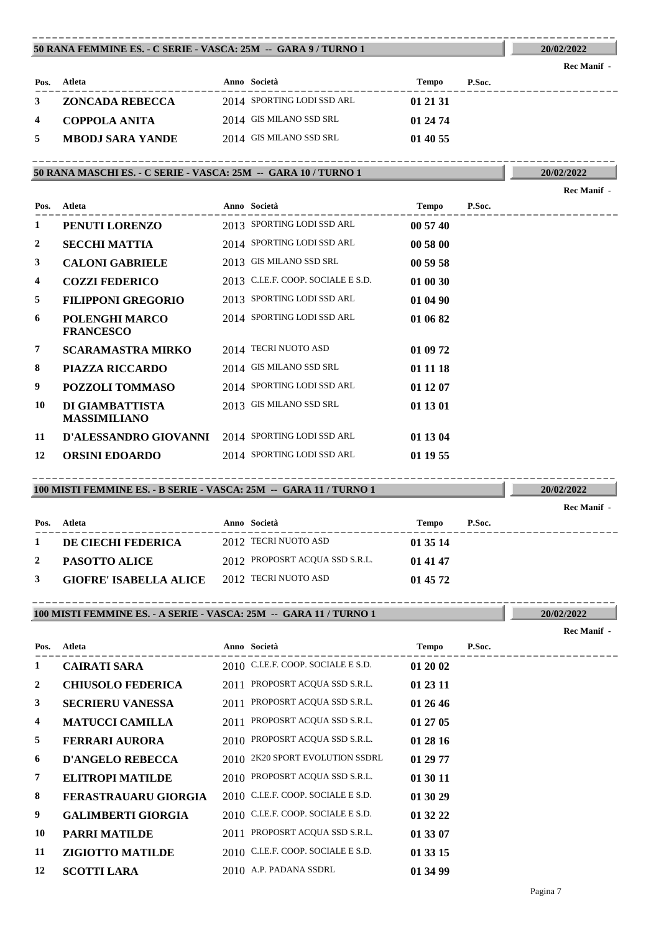#### **50 RANA FEMMINE ES. - C SERIE - VASCA: 25M -- GARA 9 / TURNO 1** ----------------------------------------------------------------------------------------

| Pos. | Atleta                  | Anno Società               | Tempo    | P.Soc. |
|------|-------------------------|----------------------------|----------|--------|
|      | ZONCADA REBECCA         | 2014 SPORTING LODI SSD ARL | 01 21 31 |        |
| 4    | COPPOLA ANITA           | 2014 GIS MILANO SSD SRL    | 01 24 74 |        |
| 5    | <b>MBODJ SARA YANDE</b> | 2014 GIS MILANO SSD SRL    | 01 40 55 |        |

#### **50 RANA MASCHI ES. - C SERIE - VASCA: 25M -- GARA 10 / TURNO 1** ----------------------------------------------------------------------------------------

|                |                                           |                                    |          |        | Rec Manif - |
|----------------|-------------------------------------------|------------------------------------|----------|--------|-------------|
| Pos.           | Atleta                                    | Anno Società                       | Tempo    | P.Soc. |             |
| 1              | PENUTI LORENZO                            | 2013 SPORTING LODI SSD ARL         | 00 57 40 |        |             |
| $\overline{2}$ | <b>SECCHI MATTIA</b>                      | 2014 SPORTING LODI SSD ARL         | 00 58 00 |        |             |
| 3              | <b>CALONI GABRIELE</b>                    | 2013 GIS MILANO SSD SRL            | 00 59 58 |        |             |
| 4              | <b>COZZI FEDERICO</b>                     | 2013 C.I.E.F. COOP. SOCIALE E S.D. | 01 00 30 |        |             |
| 5              | <b>FILIPPONI GREGORIO</b>                 | 2013 SPORTING LODI SSD ARL         | 01 04 90 |        |             |
| 6              | <b>POLENGHI MARCO</b><br><b>FRANCESCO</b> | 2014 SPORTING LODI SSD ARL         | 01 06 82 |        |             |
| 7              | <b>SCARAMASTRA MIRKO</b>                  | 2014 TECRI NUOTO ASD               | 01 09 72 |        |             |
| 8              | <b>PIAZZA RICCARDO</b>                    | 2014 GIS MILANO SSD SRL            | 01 11 18 |        |             |
| 9              | <b>POZZOLI TOMMASO</b>                    | 2014 SPORTING LODI SSD ARL         | 01 12 07 |        |             |
| 10             | DI GIAMBATTISTA<br><b>MASSIMILIANO</b>    | 2013 GIS MILANO SSD SRL            | 01 13 01 |        |             |
| 11             | D'ALESSANDRO GIOVANNI                     | 2014 SPORTING LODI SSD ARL         | 01 13 04 |        |             |
| 12             | <b>ORSINI EDOARDO</b>                     | 2014 SPORTING LODI SSD ARL         | 01 19 55 |        |             |

#### **100 MISTI FEMMINE ES. - B SERIE - VASCA: 25M -- GARA 11 / TURNO 1** ----------------------------------------------------------------------------------------

|      |                               |                                |          |        | INGU MAHILI - |
|------|-------------------------------|--------------------------------|----------|--------|---------------|
| Pos. | Atleta                        | Anno Società                   | Tempo    | P.Soc. |               |
|      | DE CIECHI FEDERICA            | 2012 TECRI NUOTO ASD           | 01 35 14 |        |               |
| 2    | <b>PASOTTO ALICE</b>          | 2012 PROPOSRT ACQUA SSD S.R.L. | 01 41 47 |        |               |
| 3    | <b>GIOFRE' ISABELLA ALICE</b> | 2012 TECRI NUOTO ASD           | 01 45 72 |        |               |

#### **100 MISTI FEMMINE ES. - A SERIE - VASCA: 25M -- GARA 11 / TURNO 1** ----------------------------------------------------------------------------------------

| Pos.           | Atleta                    | Anno Società                       | Tempo    | P.Soc. |
|----------------|---------------------------|------------------------------------|----------|--------|
| 1              | <b>CAIRATI SARA</b>       | 2010 C.I.E.F. COOP. SOCIALE E S.D. | 01 20 02 |        |
| $\overline{2}$ | <b>CHIUSOLO FEDERICA</b>  | 2011 PROPOSRT ACQUA SSD S.R.L.     | 01 23 11 |        |
| $\mathbf{3}$   | <b>SECRIERU VANESSA</b>   | 2011 PROPOSRT ACQUA SSD S.R.L.     | 01 26 46 |        |
| 4              | <b>MATUCCI CAMILLA</b>    | 2011 PROPOSRT ACQUA SSD S.R.L.     | 01 27 05 |        |
| 5              | <b>FERRARI AURORA</b>     | 2010 PROPOSRT ACQUA SSD S.R.L.     | 01 28 16 |        |
| 6              | <b>D'ANGELO REBECCA</b>   | 2010 2K20 SPORT EVOLUTION SSDRL    | 01 29 77 |        |
| $7^{\circ}$    | <b>ELITROPI MATILDE</b>   | 2010 PROPOSRT ACQUA SSD S.R.L.     | 01 30 11 |        |
| 8              | FERASTRAUARU GIORGIA      | 2010 C.I.E.F. COOP. SOCIALE E S.D. | 01 30 29 |        |
| 9              | <b>GALIMBERTI GIORGIA</b> | 2010 C.I.E.F. COOP. SOCIALE E S.D. | 01 32 22 |        |
| 10             | PARRI MATILDE             | 2011 PROPOSRT ACQUA SSD S.R.L.     | 01 33 07 |        |
| 11             | <b>ZIGIOTTO MATILDE</b>   | 2010 C.I.E.F. COOP. SOCIALE E S.D. | 01 33 15 |        |
| 12             | <b>SCOTTI LARA</b>        | 2010 A.P. PADANA SSDRL             | 01 34 99 |        |

**20/02/2022 Rec Manif -** 

**Rec Manif -** 

**20/02/2022**

**20/02/2022**

**20/02/2022 Rec Manif -**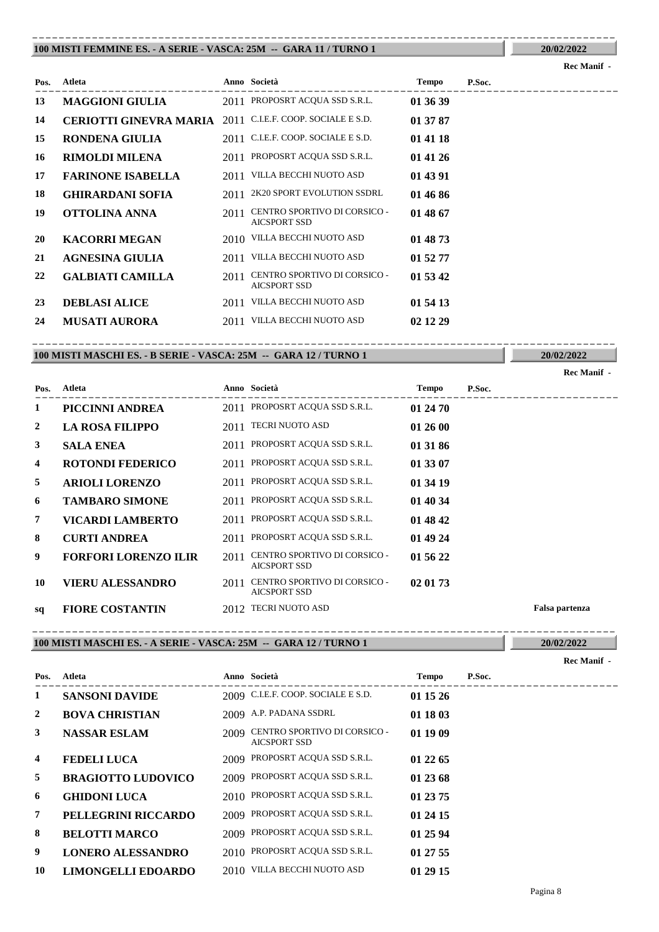#### **100 MISTI FEMMINE ES. - A SERIE - VASCA: 25M -- GARA 11 / TURNO 1** ----------------------------------------------------------------------------------------

# ---------------------------------------------------------------------------------------- **Atleta Anno Società Tempo P.Soc. Pos. Rec Manif - 13 MAGGIONI GIULIA** 2011 PROPOSRT ACQUA SSD S.R.L. **01 36 39 14 CERIOTTI GINEVRA MARIA** 2011 C.I.E.F. COOP. SOCIALE E S.D. **01 37 87 15 RONDENA GIULIA** 2011 C.I.E.F. COOP. SOCIALE E S.D. **01 41 18 16 RIMOLDI MILENA** 2011 PROPOSRT ACQUA SSD S.R.L. **01 41 26 17 FARINONE ISABELLA** 2011 VILLA BECCHI NUOTO ASD **01 43 91 18 GHIRARDANI SOFIA** 2011 2K20 SPORT EVOLUTION SSDRL **01 46 86** CENTRO SPORTIVO DI CORSICO - **19 OTTOLINA ANNA** 2011 **01 48 67** AICSPORT SSD **20 KACORRI MEGAN** 2010 VILLA BECCHI NUOTO ASD **01 48 73 21 AGNESINA GIULIA** 2011 VILLA BECCHI NUOTO ASD **01 52 77 CALBIATI CAMILLA** 2011 **CENTRO SPORTIVO DI CORSICO** - **01 53 42** AICSPORT SSD **23 DEBLASI ALICE** 2011 VILLA BECCHI NUOTO ASD **01 54 13 24 MUSATI AURORA** 2011 VILLA BECCHI NUOTO ASD **02 12 29**

#### **100 MISTI MASCHI ES. - B SERIE - VASCA: 25M -- GARA 12 / TURNO 1** ----------------------------------------------------------------------------------------

**20/02/2022**

**20/02/2022**

|      |                             |      |                                                     |              |        | <b>Rec Manif</b> - |
|------|-----------------------------|------|-----------------------------------------------------|--------------|--------|--------------------|
| Pos. | Atleta                      |      | Anno Società                                        | <b>Tempo</b> | P.Soc. |                    |
| 1    | PICCINNI ANDREA             | 2011 | PROPOSRT ACQUA SSD S.R.L.                           | 01 24 70     |        |                    |
| 2    | <b>LA ROSA FILIPPO</b>      | 2011 | <b>TECRI NUOTO ASD</b>                              | 01 26 00     |        |                    |
| 3    | <b>SALA ENEA</b>            | 2011 | PROPOSRT ACQUA SSD S.R.L.                           | 01 31 86     |        |                    |
| 4    | <b>ROTONDI FEDERICO</b>     |      | 2011 PROPOSRT ACQUA SSD S.R.L.                      | 01 33 07     |        |                    |
| 5    | <b>ARIOLI LORENZO</b>       |      | 2011 PROPOSRT ACQUA SSD S.R.L.                      | 01 34 19     |        |                    |
| 6    | <b>TAMBARO SIMONE</b>       | 2011 | PROPOSRT ACQUA SSD S.R.L.                           | 01 40 34     |        |                    |
| 7    | VICARDI LAMBERTO            | 2011 | PROPOSRT ACOUA SSD S.R.L.                           | 01 48 42     |        |                    |
| 8    | <b>CURTI ANDREA</b>         | 2011 | PROPOSRT ACQUA SSD S.R.L.                           | 01 49 24     |        |                    |
| 9    | <b>FORFORI LORENZO ILIR</b> | 2011 | CENTRO SPORTIVO DI CORSICO -<br><b>AICSPORT SSD</b> | 01 56 22     |        |                    |
| 10   | <b>VIERU ALESSANDRO</b>     | 2011 | CENTRO SPORTIVO DI CORSICO -<br><b>AICSPORT SSD</b> | 02 01 73     |        |                    |
| sq   | <b>FIORE COSTANTIN</b>      |      | 2012 TECRI NUOTO ASD                                |              |        | Falsa partenza     |

### **100 MISTI MASCHI ES. - A SERIE - VASCA: 25M -- GARA 12 / TURNO 1**

**20/02/2022** ----------------------------------------------------------------------------------------

**Rec Manif -** 

| Pos.           | Atleta                    |      | Anno Società                                        | Tempo    | P.Soc. |
|----------------|---------------------------|------|-----------------------------------------------------|----------|--------|
| 1              | <b>SANSONI DAVIDE</b>     |      | 2009 C.I.E.F. COOP. SOCIALE E S.D.                  | 01 15 26 |        |
| $\overline{2}$ | <b>BOVA CHRISTIAN</b>     |      | 2009 A.P. PADANA SSDRL                              | 01 18 03 |        |
| 3              | <b>NASSAR ESLAM</b>       | 2009 | CENTRO SPORTIVO DI CORSICO -<br><b>AICSPORT SSD</b> | 01 19 09 |        |
| 4              | <b>FEDELI LUCA</b>        |      | 2009 PROPOSRT ACQUA SSD S.R.L.                      | 01 22 65 |        |
| 5              | <b>BRAGIOTTO LUDOVICO</b> |      | 2009 PROPOSRT ACQUA SSD S.R.L.                      | 01 23 68 |        |
| 6              | <b>GHIDONI LUCA</b>       |      | 2010 PROPOSRT ACQUA SSD S.R.L.                      | 01 23 75 |        |
| 7              | PELLEGRINI RICCARDO       |      | 2009 PROPOSRT ACQUA SSD S.R.L.                      | 01 24 15 |        |
| 8              | <b>BELOTTI MARCO</b>      |      | 2009 PROPOSRT ACQUA SSD S.R.L.                      | 01 25 94 |        |
| 9              | <b>LONERO ALESSANDRO</b>  |      | 2010 PROPOSRT ACQUA SSD S.R.L.                      | 01 27 55 |        |
| 10             | <b>LIMONGELLI EDOARDO</b> |      | 2010 VILLA BECCHI NUOTO ASD                         | 01 29 15 |        |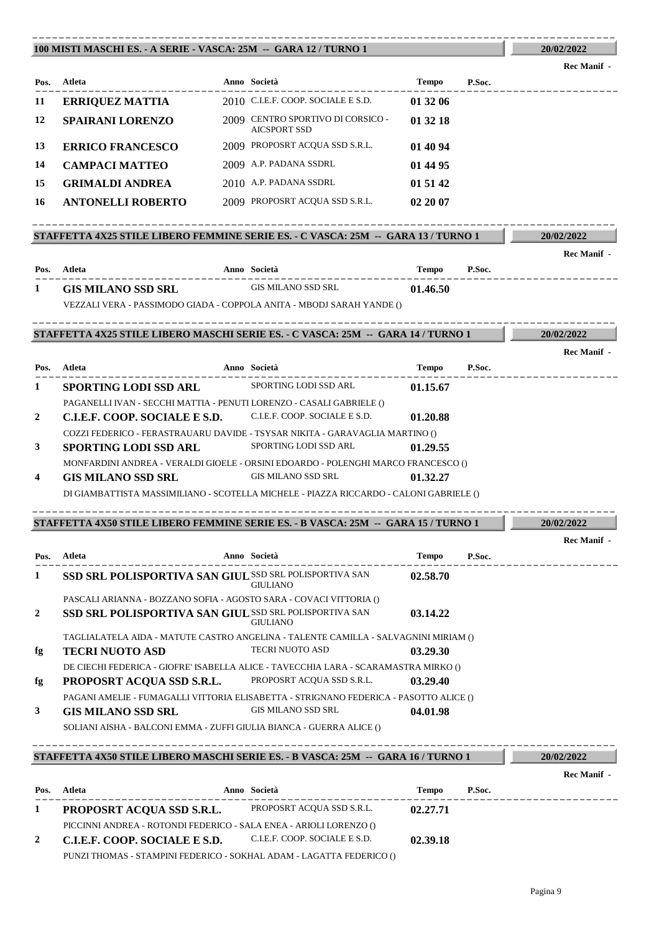### **100 MISTI MASCHI ES. - A SERIE - VASCA: 25M -- GARA 12 / TURNO 1**

PICCINNI ANDREA - ROTONDI FEDERICO - SALA ENEA - ARIOLI LORENZO ()

**2 C.I.E.F. COOP. SOCIALE E S.D.** C.I.E.F. COOP. SOCIALE E S.D. **02.39.18** PUNZI THOMAS - STAMPINI FEDERICO - SOKHAL ADAM - LAGATTA FEDERICO ()

| 11           | <b>ERRIQUEZ MATTIA</b>                                                                                       |                                                                                                                  |              |        |                    |
|--------------|--------------------------------------------------------------------------------------------------------------|------------------------------------------------------------------------------------------------------------------|--------------|--------|--------------------|
| 12<br>13     |                                                                                                              | 2010 C.I.E.F. COOP. SOCIALE E S.D.                                                                               | 01 32 06     |        |                    |
|              | <b>SPAIRANI LORENZO</b>                                                                                      | 2009 CENTRO SPORTIVO DI CORSICO -<br><b>AICSPORT SSD</b>                                                         | 01 32 18     |        |                    |
|              | <b>ERRICO FRANCESCO</b>                                                                                      | 2009 PROPOSRT ACQUA SSD S.R.L.                                                                                   | 01 40 94     |        |                    |
| 14           | <b>CAMPACI MATTEO</b>                                                                                        | 2009 A.P. PADANA SSDRL                                                                                           | 01 44 95     |        |                    |
| 15           | <b>GRIMALDI ANDREA</b>                                                                                       | 2010 A.P. PADANA SSDRL                                                                                           | 01 51 42     |        |                    |
| 16           | <b>ANTONELLI ROBERTO</b>                                                                                     | 2009 PROPOSRT ACQUA SSD S.R.L.                                                                                   | 02 20 07     |        |                    |
|              | STAFFETTA 4X25 STILE LIBERO FEMMINE SERIE ES. - C VASCA: 25M -- GARA 13 / TURNO 1                            |                                                                                                                  |              |        | 20/02/2022         |
|              |                                                                                                              |                                                                                                                  |              |        | <b>Rec Manif</b> - |
|              | Pos. Atleta                                                                                                  | <b>Anno Società</b><br>----------------------                                                                    | Tempo P.Soc. |        |                    |
| 1            | <b>GIS MILANO SSD SRL</b>                                                                                    | <b>GIS MILANO SSD SRL</b>                                                                                        | 01.46.50     |        |                    |
|              | VEZZALI VERA - PASSIMODO GIADA - COPPOLA ANITA - MBODJ SARAH YANDE ()                                        |                                                                                                                  |              |        |                    |
|              | STAFFETTA 4X25 STILE LIBERO MASCHI SERIE ES. - C VASCA: 25M -- GARA 14 / TURNO 1                             |                                                                                                                  |              |        | 20/02/2022         |
|              |                                                                                                              |                                                                                                                  |              |        | Rec Manif -        |
|              | Pos. Atleta                                                                                                  | Anno Società                                                                                                     | <b>Tempo</b> | P.Soc. |                    |
| 1            | <b>SPORTING LODI SSD ARL</b>                                                                                 | SPORTING LODI SSD ARL                                                                                            | 01.15.67     |        |                    |
|              | PAGANELLI IVAN - SECCHI MATTIA - PENUTI LORENZO - CASALI GABRIELE ()                                         |                                                                                                                  |              |        |                    |
| 2            | C.I.E.F. COOP. SOCIALE E S.D.                                                                                | C.I.E.F. COOP. SOCIALE E S.D.                                                                                    | 01.20.88     |        |                    |
| 3            | COZZI FEDERICO - FERASTRAUARU DAVIDE - TSYSAR NIKITA - GARAVAGLIA MARTINO ()<br><b>SPORTING LODI SSD ARL</b> | SPORTING LODI SSD ARL                                                                                            | 01.29.55     |        |                    |
|              |                                                                                                              | MONFARDINI ANDREA - VERALDI GIOELE - ORSINI EDOARDO - POLENGHI MARCO FRANCESCO ()                                |              |        |                    |
| 4            | <b>GIS MILANO SSD SRL</b>                                                                                    | GIS MILANO SSD SRL                                                                                               | 01.32.27     |        |                    |
|              |                                                                                                              | DI GIAMBATTISTA MASSIMILIANO - SCOTELLA MICHELE - PIAZZA RICCARDO - CALONI GABRIELE ()                           |              |        |                    |
|              | STAFFETTA 4X50 STILE LIBERO FEMMINE SERIE ES. - B VASCA: 25M -- GARA 15 / TURNO 1                            |                                                                                                                  |              |        | 20/02/2022         |
|              | Pos. Atleta                                                                                                  | Anno Società                                                                                                     | Tempo        | P.Soc. | <b>Rec Manif</b> - |
| 1            | ---------------------<br>SSD SRL POLISPORTIVA SAN GIULISSD SRL POLISPORTIVA SAN 02.58.70                     | <b>GIULIANO</b>                                                                                                  |              |        |                    |
|              | PASCALI ARIANNA - BOZZANO SOFIA - AGOSTO SARA - COVACI VITTORIA ()                                           |                                                                                                                  |              |        |                    |
| $\mathbf{2}$ | SSD SRL POLISPORTIVA SAN GIUL'SSD SRL POLISPORTIVA SAN                                                       | <b>GIULIANO</b>                                                                                                  | 03.14.22     |        |                    |
|              |                                                                                                              | TAGLIALATELA AIDA - MATUTE CASTRO ANGELINA - TALENTE CAMILLA - SALVAGNINI MIRIAM ()                              |              |        |                    |
| fg           | <b>TECRI NUOTO ASD</b>                                                                                       | <b>TECRI NUOTO ASD</b>                                                                                           | 03.29.30     |        |                    |
| fg           | PROPOSRT ACQUA SSD S.R.L.                                                                                    | DE CIECHI FEDERICA - GIOFRE' ISABELLA ALICE - TAVECCHIA LARA - SCARAMASTRA MIRKO ()<br>PROPOSRT ACQUA SSD S.R.L. | 03.29.40     |        |                    |
|              |                                                                                                              | PAGANI AMELIE - FUMAGALLI VITTORIA ELISABETTA - STRIGNANO FEDERICA - PASOTTO ALICE ()                            |              |        |                    |
| $\mathbf{3}$ | <b>GIS MILANO SSD SRL</b>                                                                                    | <b>GIS MILANO SSD SRL</b>                                                                                        | 04.01.98     |        |                    |
|              | SOLIANI AISHA - BALCONI EMMA - ZUFFI GIULIA BIANCA - GUERRA ALICE ()                                         |                                                                                                                  |              |        |                    |
|              |                                                                                                              |                                                                                                                  |              |        |                    |
|              | STAFFETTA 4X50 STILE LIBERO MASCHI SERIE ES. - B VASCA: 25M -- GARA 16 / TURNO 1                             |                                                                                                                  |              |        | 20/02/2022         |
| Pos.         | Atleta                                                                                                       | Anno Società                                                                                                     | <b>Tempo</b> | P.Soc. | <b>Rec Manif</b> - |

----------------------------------------------------------------------------------------

**20/02/2022 Rec Manif -**